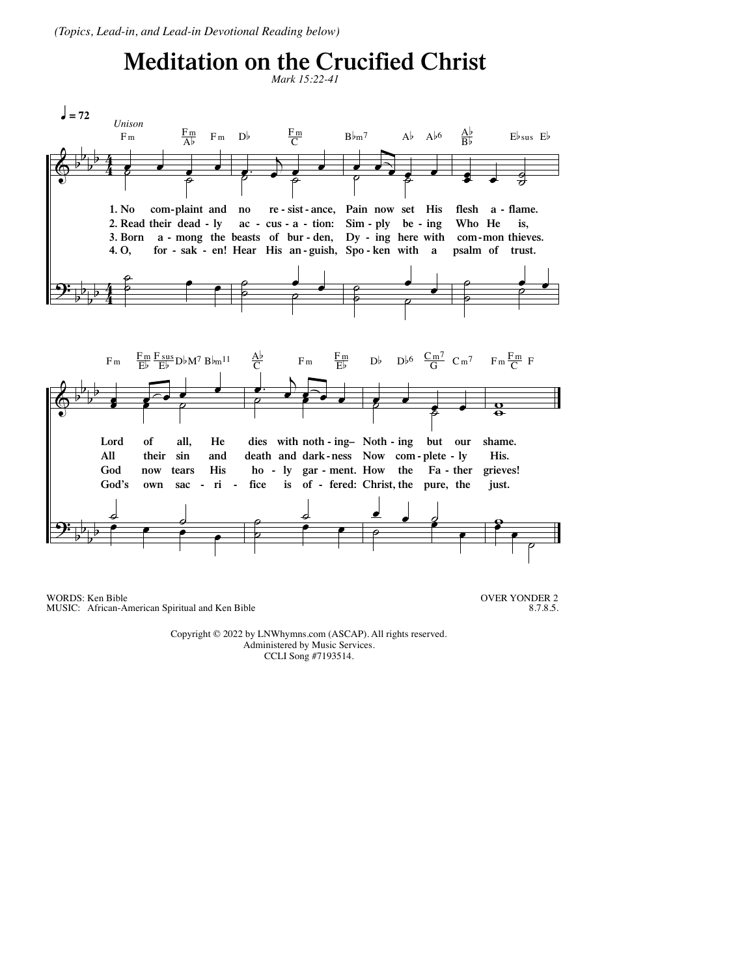(Topics, Lead-in, and Lead-in Devotional Reading below)

## **Meditation on the Crucified Christ**



WORDS: Ken Bible MUSIC: African-American Spiritual and Ken Bible

**OVER YONDER 2** 8.7.8.5.

Copyright © 2022 by LNWhymns.com (ASCAP). All rights reserved. Administered by Music Services. CCLI Song #7193514.